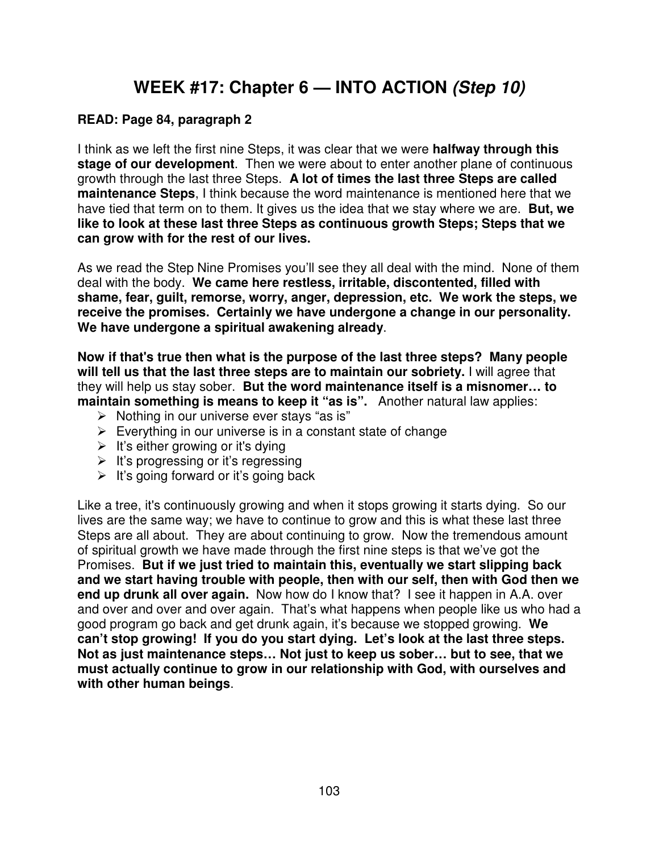# **WEEK #17: Chapter 6 — INTO ACTION (Step 10)**

#### **READ: Page 84, paragraph 2**

I think as we left the first nine Steps, it was clear that we were **halfway through this stage of our development**. Then we were about to enter another plane of continuous growth through the last three Steps. **A lot of times the last three Steps are called maintenance Steps**, I think because the word maintenance is mentioned here that we have tied that term on to them. It gives us the idea that we stay where we are. **But, we like to look at these last three Steps as continuous growth Steps; Steps that we can grow with for the rest of our lives.** 

As we read the Step Nine Promises you'll see they all deal with the mind. None of them deal with the body. **We came here restless, irritable, discontented, filled with shame, fear, guilt, remorse, worry, anger, depression, etc. We work the steps, we receive the promises. Certainly we have undergone a change in our personality. We have undergone a spiritual awakening already**.

**Now if that's true then what is the purpose of the last three steps? Many people will tell us that the last three steps are to maintain our sobriety.** I will agree that they will help us stay sober. **But the word maintenance itself is a misnomer… to maintain something is means to keep it "as is".** Another natural law applies:

- $\triangleright$  Nothing in our universe ever stays "as is"
- $\triangleright$  Everything in our universe is in a constant state of change
- $\triangleright$  It's either growing or it's dying
- $\triangleright$  It's progressing or it's regressing
- $\triangleright$  It's going forward or it's going back

Like a tree, it's continuously growing and when it stops growing it starts dying. So our lives are the same way; we have to continue to grow and this is what these last three Steps are all about. They are about continuing to grow. Now the tremendous amount of spiritual growth we have made through the first nine steps is that we've got the Promises. **But if we just tried to maintain this, eventually we start slipping back and we start having trouble with people, then with our self, then with God then we end up drunk all over again.** Now how do I know that? I see it happen in A.A. over and over and over and over again. That's what happens when people like us who had a good program go back and get drunk again, it's because we stopped growing. **We can't stop growing! If you do you start dying. Let's look at the last three steps. Not as just maintenance steps… Not just to keep us sober… but to see, that we must actually continue to grow in our relationship with God, with ourselves and with other human beings**.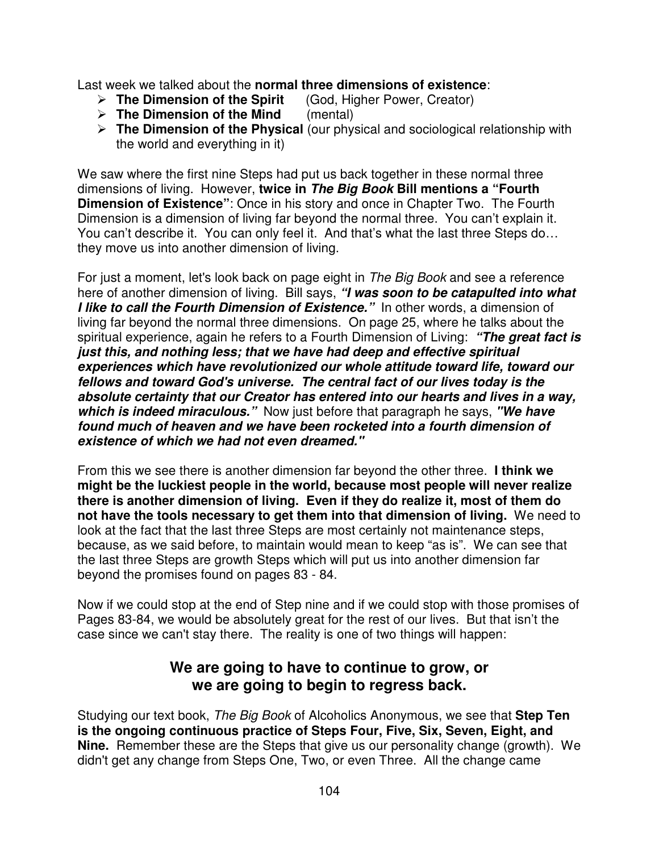Last week we talked about the **normal three dimensions of existence**:

- **The Dimension of the Spirit** (God, Higher Power, Creator)
- **The Dimension of the Mind** (mental)
- **The Dimension of the Physical** (our physical and sociological relationship with the world and everything in it)

We saw where the first nine Steps had put us back together in these normal three dimensions of living. However, **twice in The Big Book Bill mentions a "Fourth Dimension of Existence"**: Once in his story and once in Chapter Two. The Fourth Dimension is a dimension of living far beyond the normal three. You can't explain it. You can't describe it. You can only feel it. And that's what the last three Steps do… they move us into another dimension of living.

For just a moment, let's look back on page eight in The Big Book and see a reference here of another dimension of living. Bill says, **"I was soon to be catapulted into what I like to call the Fourth Dimension of Existence."** In other words, a dimension of living far beyond the normal three dimensions. On page 25, where he talks about the spiritual experience, again he refers to a Fourth Dimension of Living: **"The great fact is just this, and nothing less; that we have had deep and effective spiritual experiences which have revolutionized our whole attitude toward life, toward our fellows and toward God's universe. The central fact of our lives today is the absolute certainty that our Creator has entered into our hearts and lives in a way, which is indeed miraculous."** Now just before that paragraph he says, **"We have found much of heaven and we have been rocketed into a fourth dimension of existence of which we had not even dreamed."**

From this we see there is another dimension far beyond the other three. **I think we might be the luckiest people in the world, because most people will never realize there is another dimension of living. Even if they do realize it, most of them do not have the tools necessary to get them into that dimension of living.** We need to look at the fact that the last three Steps are most certainly not maintenance steps, because, as we said before, to maintain would mean to keep "as is". We can see that the last three Steps are growth Steps which will put us into another dimension far beyond the promises found on pages 83 - 84.

Now if we could stop at the end of Step nine and if we could stop with those promises of Pages 83-84, we would be absolutely great for the rest of our lives. But that isn't the case since we can't stay there. The reality is one of two things will happen:

# **We are going to have to continue to grow, or we are going to begin to regress back.**

Studying our text book, The Big Book of Alcoholics Anonymous, we see that **Step Ten is the ongoing continuous practice of Steps Four, Five, Six, Seven, Eight, and Nine.** Remember these are the Steps that give us our personality change (growth). We didn't get any change from Steps One, Two, or even Three. All the change came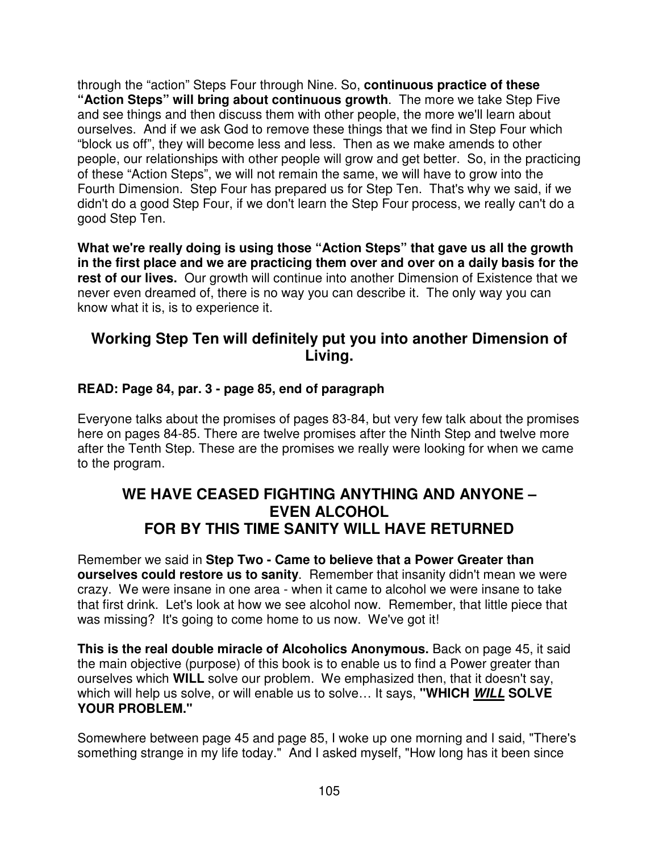through the "action" Steps Four through Nine. So, **continuous practice of these "Action Steps" will bring about continuous growth**. The more we take Step Five and see things and then discuss them with other people, the more we'll learn about ourselves. And if we ask God to remove these things that we find in Step Four which "block us off", they will become less and less. Then as we make amends to other people, our relationships with other people will grow and get better. So, in the practicing of these "Action Steps", we will not remain the same, we will have to grow into the Fourth Dimension. Step Four has prepared us for Step Ten. That's why we said, if we didn't do a good Step Four, if we don't learn the Step Four process, we really can't do a good Step Ten.

**What we're really doing is using those "Action Steps" that gave us all the growth in the first place and we are practicing them over and over on a daily basis for the rest of our lives.** Our growth will continue into another Dimension of Existence that we never even dreamed of, there is no way you can describe it. The only way you can know what it is, is to experience it.

# **Working Step Ten will definitely put you into another Dimension of Living.**

### **READ: Page 84, par. 3 - page 85, end of paragraph**

Everyone talks about the promises of pages 83-84, but very few talk about the promises here on pages 84-85. There are twelve promises after the Ninth Step and twelve more after the Tenth Step. These are the promises we really were looking for when we came to the program.

## **WE HAVE CEASED FIGHTING ANYTHING AND ANYONE – EVEN ALCOHOL FOR BY THIS TIME SANITY WILL HAVE RETURNED**

Remember we said in **Step Two - Came to believe that a Power Greater than ourselves could restore us to sanity**. Remember that insanity didn't mean we were crazy. We were insane in one area - when it came to alcohol we were insane to take that first drink. Let's look at how we see alcohol now. Remember, that little piece that was missing? It's going to come home to us now. We've got it!

**This is the real double miracle of Alcoholics Anonymous.** Back on page 45, it said the main objective (purpose) of this book is to enable us to find a Power greater than ourselves which **WILL** solve our problem. We emphasized then, that it doesn't say, which will help us solve, or will enable us to solve… It says, **"WHICH WILL SOLVE YOUR PROBLEM."**

Somewhere between page 45 and page 85, I woke up one morning and I said, "There's something strange in my life today." And I asked myself, "How long has it been since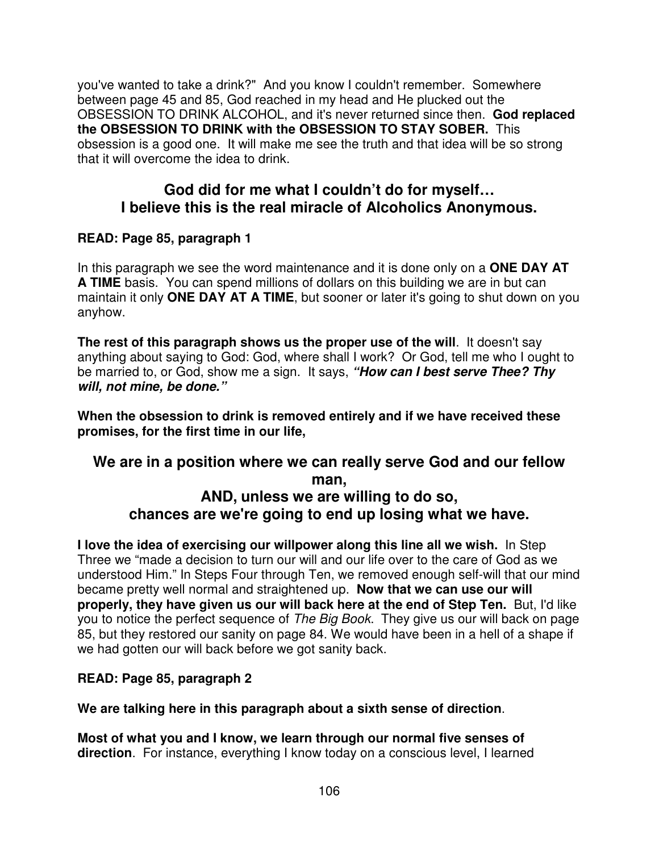you've wanted to take a drink?" And you know I couldn't remember. Somewhere between page 45 and 85, God reached in my head and He plucked out the OBSESSION TO DRINK ALCOHOL, and it's never returned since then. **God replaced the OBSESSION TO DRINK with the OBSESSION TO STAY SOBER.** This obsession is a good one. It will make me see the truth and that idea will be so strong that it will overcome the idea to drink.

# **God did for me what I couldn't do for myself… I believe this is the real miracle of Alcoholics Anonymous.**

#### **READ: Page 85, paragraph 1**

In this paragraph we see the word maintenance and it is done only on a **ONE DAY AT A TIME** basis. You can spend millions of dollars on this building we are in but can maintain it only **ONE DAY AT A TIME**, but sooner or later it's going to shut down on you anyhow.

**The rest of this paragraph shows us the proper use of the will**. It doesn't say anything about saying to God: God, where shall I work? Or God, tell me who I ought to be married to, or God, show me a sign. It says, **"How can I best serve Thee? Thy will, not mine, be done."**

**When the obsession to drink is removed entirely and if we have received these promises, for the first time in our life,** 

### **We are in a position where we can really serve God and our fellow man, AND, unless we are willing to do so, chances are we're going to end up losing what we have.**

**I love the idea of exercising our willpower along this line all we wish.** In Step Three we "made a decision to turn our will and our life over to the care of God as we understood Him." In Steps Four through Ten, we removed enough self-will that our mind became pretty well normal and straightened up. **Now that we can use our will properly, they have given us our will back here at the end of Step Ten.** But, I'd like you to notice the perfect sequence of The Big Book. They give us our will back on page 85, but they restored our sanity on page 84. We would have been in a hell of a shape if we had gotten our will back before we got sanity back.

#### **READ: Page 85, paragraph 2**

**We are talking here in this paragraph about a sixth sense of direction**.

**Most of what you and I know, we learn through our normal five senses of direction**. For instance, everything I know today on a conscious level, I learned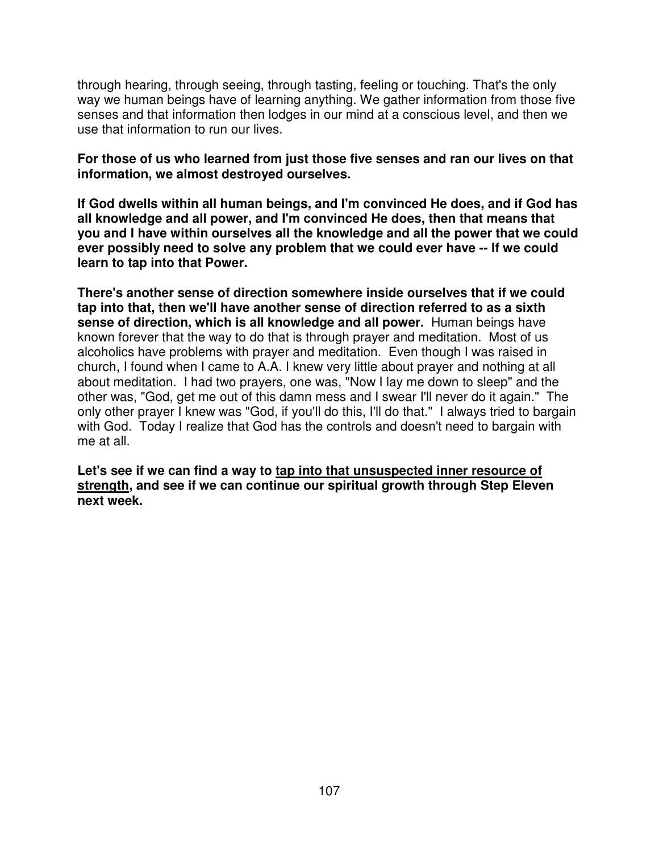through hearing, through seeing, through tasting, feeling or touching. That's the only way we human beings have of learning anything. We gather information from those five senses and that information then lodges in our mind at a conscious level, and then we use that information to run our lives.

#### **For those of us who learned from just those five senses and ran our lives on that information, we almost destroyed ourselves.**

**If God dwells within all human beings, and I'm convinced He does, and if God has all knowledge and all power, and I'm convinced He does, then that means that you and I have within ourselves all the knowledge and all the power that we could ever possibly need to solve any problem that we could ever have -- If we could learn to tap into that Power.** 

**There's another sense of direction somewhere inside ourselves that if we could tap into that, then we'll have another sense of direction referred to as a sixth sense of direction, which is all knowledge and all power.** Human beings have known forever that the way to do that is through prayer and meditation. Most of us alcoholics have problems with prayer and meditation. Even though I was raised in church, I found when I came to A.A. I knew very little about prayer and nothing at all about meditation. I had two prayers, one was, "Now I lay me down to sleep" and the other was, "God, get me out of this damn mess and I swear I'll never do it again." The only other prayer I knew was "God, if you'll do this, I'll do that." I always tried to bargain with God. Today I realize that God has the controls and doesn't need to bargain with me at all.

Let's see if we can find a way to tap into that unsuspected inner resource of **strength, and see if we can continue our spiritual growth through Step Eleven next week.**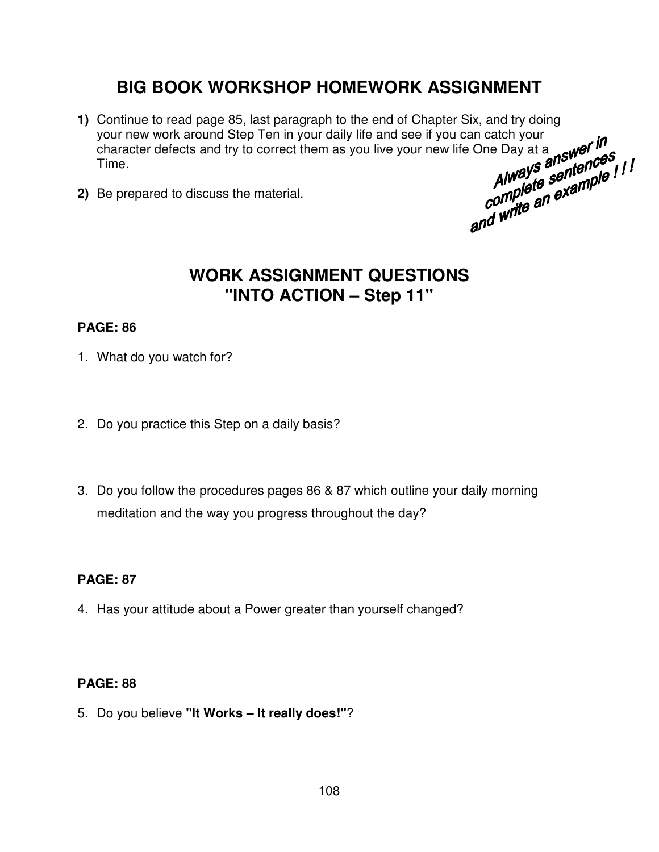# **BIG BOOK WORKSHOP HOMEWORK ASSIGNMENT**

- **1)** Continue to read page 85, last paragraph to the end of Chapter Six, and try doing your new work around Step Ten in your daily life and see if you can catch your character defects and try to correct them as you live yo your new work around Step Ten in your daily life and see if you can catch your<br>character defects and try to correct them as you live your new life One Day at a<br>Time.<br>Be prepared to discuss the material<br>expansion of the ma character defects and try to correct them as you live your new life One Day at a new order  $\mu$ <br>Time.<br>Be prepared to discuss the material.<br>Be prepared to discuss the material.<br>Be prepared to discuss the material. Time.
- **2)** Be prepared to discuss the material.

# **WORK ASSIGNMENT QUESTIONS "INTO ACTION – Step 11"**

#### **PAGE: 86**

- 1. What do you watch for?
- 2. Do you practice this Step on a daily basis?
- 3. Do you follow the procedures pages 86 & 87 which outline your daily morning meditation and the way you progress throughout the day?

#### **PAGE: 87**

4. Has your attitude about a Power greater than yourself changed?

#### **PAGE: 88**

5. Do you believe **"It Works – It really does!"**?